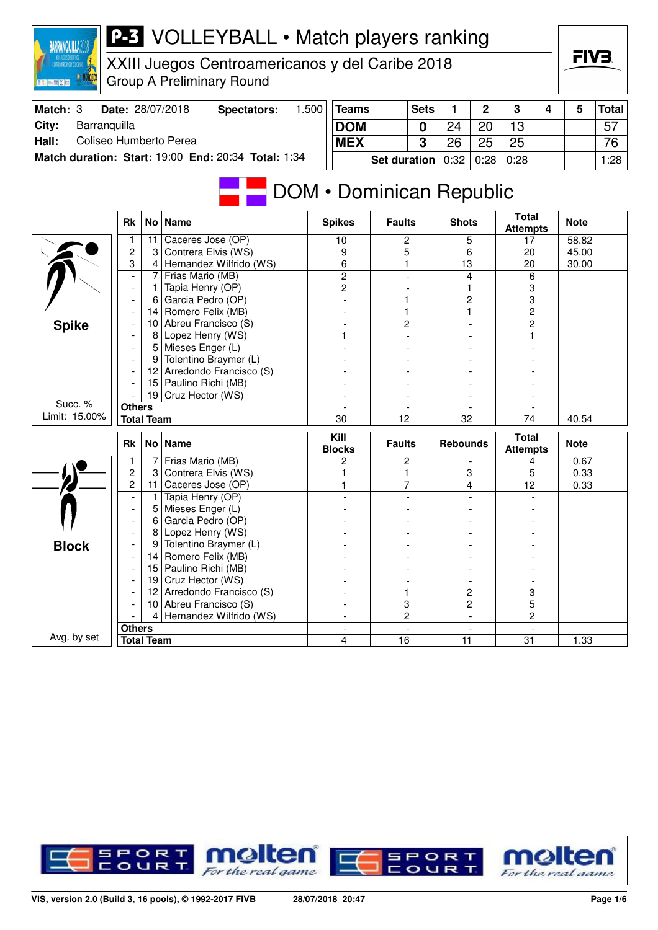| <b>MANCECA</b><br>BREEKE        |                               |                   | www.bacgoo.companionogroup y acroamoc.com<br><b>Group A Preliminary Round</b> |       |                          |                     |             |                 |              |                                 |   |             |              |
|---------------------------------|-------------------------------|-------------------|-------------------------------------------------------------------------------|-------|--------------------------|---------------------|-------------|-----------------|--------------|---------------------------------|---|-------------|--------------|
| Match: 3                        |                               |                   | Date: 28/07/2018<br><b>Spectators:</b>                                        | 1.500 | <b>Teams</b>             |                     | <b>Sets</b> | 1.              | $\mathbf{2}$ | 3                               | 4 | 5           | <b>Total</b> |
| Barranquilla<br>City:           |                               |                   |                                                                               |       | <b>DOM</b>               |                     | $\bf{0}$    | 24              | 20           | 13                              |   |             | 57           |
| Coliseo Humberto Perea<br>Hall: |                               |                   |                                                                               |       | <b>MEX</b>               |                     | 3           | 26              | 25           | 25                              |   |             | 76           |
|                                 |                               |                   | Match duration: Start: 19:00 End: 20:34 Total: 1:34                           |       |                          |                     |             |                 |              |                                 |   |             |              |
|                                 |                               |                   |                                                                               |       |                          | <b>Set duration</b> |             | 0:32            | 0:28         | 0:28                            |   |             | 1:28         |
|                                 |                               |                   |                                                                               |       | DOM • Dominican Republic |                     |             |                 |              | <b>Total</b>                    |   |             |              |
|                                 | Rk                            |                   | No   Name                                                                     |       | <b>Spikes</b>            | <b>Faults</b>       |             | <b>Shots</b>    |              | <b>Attempts</b>                 |   | <b>Note</b> |              |
|                                 | 1                             | 11                | Caceres Jose (OP)                                                             |       | 10                       | $\overline{c}$      |             | 5               |              | 17                              |   | 58.82       |              |
|                                 | $\overline{c}$                | 3                 | Contrera Elvis (WS)                                                           |       | 9                        | 5                   |             | 6               |              | 20                              |   | 45.00       |              |
|                                 | 3<br>$\overline{\phantom{a}}$ | 4<br>7            | Hernandez Wilfrido (WS)<br>Frias Mario (MB)                                   |       | 6<br>2                   | 1                   |             | 13<br>4         |              | 20<br>6                         |   | 30.00       |              |
|                                 | $\overline{\phantom{a}}$      | 1.                | Tapia Henry (OP)                                                              |       | 2                        |                     |             |                 |              | 3                               |   |             |              |
|                                 |                               | 6                 | Garcia Pedro (OP)                                                             |       |                          |                     |             | 2               |              | 3                               |   |             |              |
|                                 |                               | 14                | Romero Felix (MB)                                                             |       |                          |                     |             |                 |              | $\overline{\mathbf{c}}$         |   |             |              |
| <b>Spike</b>                    |                               | 10                | Abreu Francisco (S)                                                           |       |                          | 2                   |             |                 |              | $\overline{c}$                  |   |             |              |
|                                 |                               | 8                 | Lopez Henry (WS)                                                              |       |                          |                     |             |                 |              |                                 |   |             |              |
|                                 |                               | 5                 | Mieses Enger (L)                                                              |       |                          |                     |             |                 |              |                                 |   |             |              |
|                                 |                               | 9                 | Tolentino Braymer (L)                                                         |       |                          |                     |             |                 |              |                                 |   |             |              |
|                                 |                               |                   | 12 Arredondo Francisco (S)                                                    |       |                          |                     |             |                 |              |                                 |   |             |              |
|                                 |                               |                   | 15 Paulino Richi (MB)<br>19 Cruz Hector (WS)                                  |       |                          |                     |             |                 |              |                                 |   |             |              |
| Succ. %                         | <b>Others</b>                 |                   |                                                                               |       |                          |                     |             |                 |              |                                 |   |             |              |
| Limit: 15.00%                   |                               | <b>Total Team</b> |                                                                               |       | 30                       | 12                  |             | 32              |              | $\overline{74}$                 |   | 40.54       |              |
|                                 | Rk                            |                   | No   Name                                                                     |       | Kill<br><b>Blocks</b>    | <b>Faults</b>       |             | <b>Rebounds</b> |              | <b>Total</b><br><b>Attempts</b> |   | <b>Note</b> |              |
|                                 | 1                             | 7                 | Frias Mario (MB)                                                              |       | 2                        | 2                   |             |                 |              | 4                               |   | 0.67        |              |
|                                 | $\overline{\mathbf{c}}$       | 3                 | Contrera Elvis (WS)                                                           |       |                          | 1                   |             | 3               |              | 5                               |   | 0.33        |              |
|                                 | $\overline{c}$                | 11<br>1.          | Caceres Jose (OP)<br>Tapia Henry (OP)                                         |       |                          | 7                   |             | 4               |              | 12                              |   | 0.33        |              |
|                                 |                               | 5                 | Mieses Enger (L)                                                              |       |                          |                     |             |                 |              |                                 |   |             |              |
|                                 |                               | 6                 | Garcia Pedro (OP)                                                             |       |                          |                     |             |                 |              |                                 |   |             |              |
|                                 |                               | 8                 | Lopez Henry (WS)                                                              |       |                          |                     |             |                 |              |                                 |   |             |              |
| <b>Block</b>                    |                               | 9                 | Tolentino Braymer (L)                                                         |       |                          |                     |             |                 |              |                                 |   |             |              |
|                                 |                               | 14                | Romero Felix (MB)                                                             |       |                          |                     |             |                 |              |                                 |   |             |              |
|                                 |                               |                   | 15 Paulino Richi (MB)                                                         |       |                          |                     |             |                 |              |                                 |   |             |              |
|                                 | $\blacksquare$                |                   | 19 Cruz Hector (WS)                                                           |       |                          |                     |             |                 |              |                                 |   |             |              |
|                                 | $\overline{\phantom{a}}$      |                   | 12 Arredondo Francisco (S)                                                    |       |                          | 1                   |             | 2               |              | 3                               |   |             |              |
|                                 |                               | 4                 | 10 Abreu Francisco (S)<br>Hernandez Wilfrido (WS)                             |       |                          | 3<br>2              |             | 2               |              | 5<br>2                          |   |             |              |
|                                 | <b>Others</b>                 |                   |                                                                               |       | $\overline{\phantom{a}}$ |                     |             |                 |              |                                 |   |             |              |
| Avg. by set                     |                               | <b>Total Team</b> |                                                                               |       | 4                        | 16                  |             | 11              |              | 31                              |   | 1.33        |              |
|                                 |                               |                   |                                                                               |       |                          |                     |             |                 |              |                                 |   |             |              |



XXIII Juegos Centroamericanos y del Caribe 2018

**BARRANQUILLA2018** 



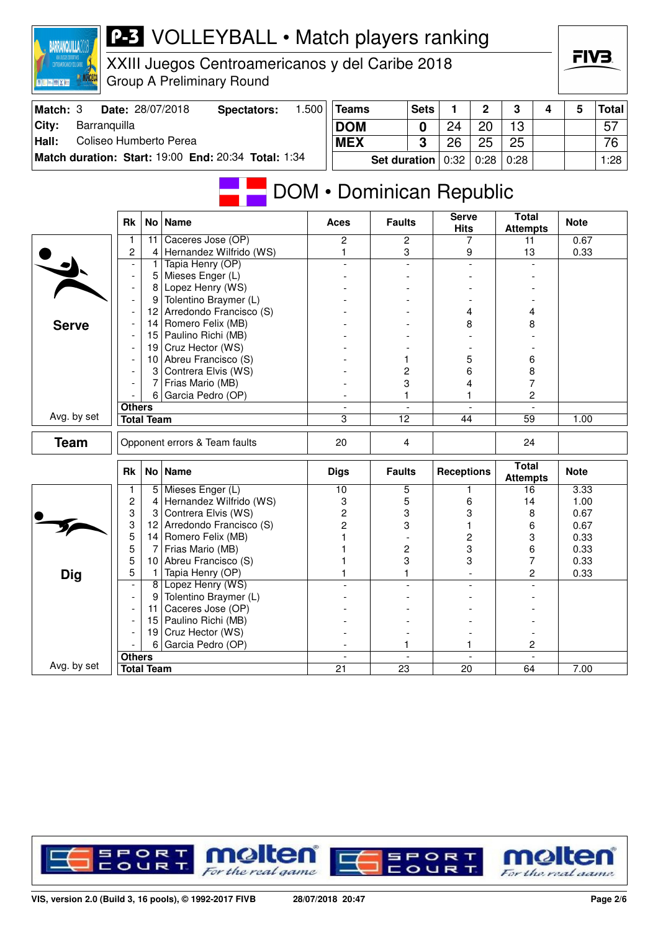

XXIII Juegos Centroamericanos y del Caribe 2018 Group A Preliminary Round

| Match: 3 | Date: 28/07/2018                                    | Spectators: | 1.500 | Teams                              | <b>Sets</b> |    | $\mathbf 2$ | 3    | 4 | 5 | <b>Total</b> |
|----------|-----------------------------------------------------|-------------|-------|------------------------------------|-------------|----|-------------|------|---|---|--------------|
| City:    | Barranguilla                                        |             |       | <b>DOM</b>                         | ∩           | 24 | 20          | 13   |   |   | 57           |
| Hall:    | Coliseo Humberto Perea                              |             |       | <b>MEX</b>                         | ີ           | 26 | 25          | 25   |   |   | 76           |
|          | Match duration: Start: 19:00 End: 20:34 Total: 1:34 |             |       | Set duration $0.32 \mid 0.28 \mid$ |             |    |             | 0:28 |   |   | 1:28         |

# **DOM • Dominican Republic**

|              | <b>Rk</b>                |                   | No   Name                     | <b>Aces</b>              | <b>Faults</b>   | <b>Serve</b><br><b>Hits</b> | <b>Total</b><br><b>Attempts</b> | <b>Note</b> |
|--------------|--------------------------|-------------------|-------------------------------|--------------------------|-----------------|-----------------------------|---------------------------------|-------------|
|              | 1                        | 11                | Caceres Jose (OP)             | $\mathbf{2}$             | $\overline{c}$  | 7                           | 11                              | 0.67        |
|              | 2                        | $\overline{4}$    | Hernandez Wilfrido (WS)       | 1                        | 3               | 9                           | 13                              | 0.33        |
|              | $\overline{\phantom{a}}$ | 1                 | Tapia Henry (OP)              | $\overline{a}$           | $\overline{a}$  | $\blacksquare$              |                                 |             |
|              | $\blacksquare$           | 5                 | Mieses Enger (L)              |                          |                 |                             |                                 |             |
|              | $\overline{\phantom{a}}$ | 8                 | Lopez Henry (WS)              |                          |                 |                             |                                 |             |
|              | $\blacksquare$           | 9                 | Tolentino Braymer (L)         |                          |                 |                             |                                 |             |
|              |                          | 12 <sub>2</sub>   | Arredondo Francisco (S)       |                          |                 | 4                           | 4                               |             |
| <b>Serve</b> |                          | 14                | Romero Felix (MB)             |                          |                 | 8                           | 8                               |             |
|              | $\overline{\phantom{a}}$ | 15                | Paulino Richi (MB)            |                          |                 |                             |                                 |             |
|              | $\overline{\phantom{a}}$ |                   | 19 Cruz Hector (WS)           |                          |                 |                             |                                 |             |
|              | $\overline{\phantom{a}}$ | 10                | Abreu Francisco (S)           |                          | 1               | 5                           | 6                               |             |
|              |                          | 3                 | Contrera Elvis (WS)           |                          | $\overline{c}$  | 6                           | 8                               |             |
|              |                          | 7                 | Frias Mario (MB)              |                          | 3               | 4                           | 7                               |             |
|              |                          |                   | 6 Garcia Pedro (OP)           |                          | 1               |                             | 2                               |             |
|              | <b>Others</b>            |                   |                               | $\overline{\phantom{a}}$ | $\blacksquare$  | $\blacksquare$              | $\blacksquare$                  |             |
| Avg. by set  |                          | <b>Total Team</b> |                               | 3                        | $\overline{12}$ | 44                          | $\overline{59}$                 | 1.00        |
| <b>Team</b>  |                          |                   | Opponent errors & Team faults | 20                       | 4               |                             | 24                              |             |
|              | <b>Rk</b>                |                   | No   Name                     | <b>Digs</b>              | <b>Faults</b>   | <b>Receptions</b>           | <b>Total</b><br><b>Attempts</b> | <b>Note</b> |
|              | 1                        | 5 <sup>1</sup>    | Mieses Enger (L)              | 10                       | $\overline{5}$  |                             | 16                              | 3.33        |
|              | $\overline{c}$           | $\overline{4}$    | Hernandez Wilfrido (WS)       | 3                        | 5               | 6                           | 14                              | 1.00        |
|              | 3                        | 3                 | Contrera Elvis (WS)           | $\overline{c}$           | 3               | 3                           | 8                               | 0.67        |
|              | 3                        | 12 <sub>2</sub>   | Arredondo Francisco (S)       | $\overline{2}$           | 3               |                             | 6                               | 0.67        |
|              | 5                        | 14                | Romero Felix (MB)             |                          |                 | 2                           | 3                               | 0.33        |
|              | 5                        | 7                 | Frias Mario (MB)              |                          | $\overline{c}$  | 3                           | 6                               | 0.33        |
|              | 5                        | 10 <sup>1</sup>   | Abreu Francisco (S)           |                          | 3               | 3                           | 7                               | 0.33        |
| Dig          | 5                        | $\mathbf{1}$      | Tapia Henry (OP)              |                          | 1               | $\overline{a}$              | $\overline{c}$                  | 0.33        |
|              | $\overline{\phantom{a}}$ |                   | 8 Lopez Henry (WS)            |                          |                 |                             |                                 |             |
|              | $\overline{\phantom{a}}$ | 9                 | Tolentino Braymer (L)         |                          |                 |                             |                                 |             |
|              |                          | 11                | Caceres Jose (OP)             |                          |                 |                             |                                 |             |
|              | $\overline{\phantom{a}}$ |                   | 15 Paulino Richi (MB)         |                          |                 |                             |                                 |             |
|              |                          | 19                | Cruz Hector (WS)              |                          |                 |                             |                                 |             |
|              |                          | 6                 | Garcia Pedro (OP)             |                          | 1               |                             | 2                               |             |
|              | <b>Others</b>            |                   |                               | $\sim$                   | $\blacksquare$  | $\overline{a}$              | $\overline{\phantom{a}}$        |             |
| Avg. by set  |                          | <b>Total Team</b> |                               | 21                       | 23              | 20                          | 64                              | 7.00        |

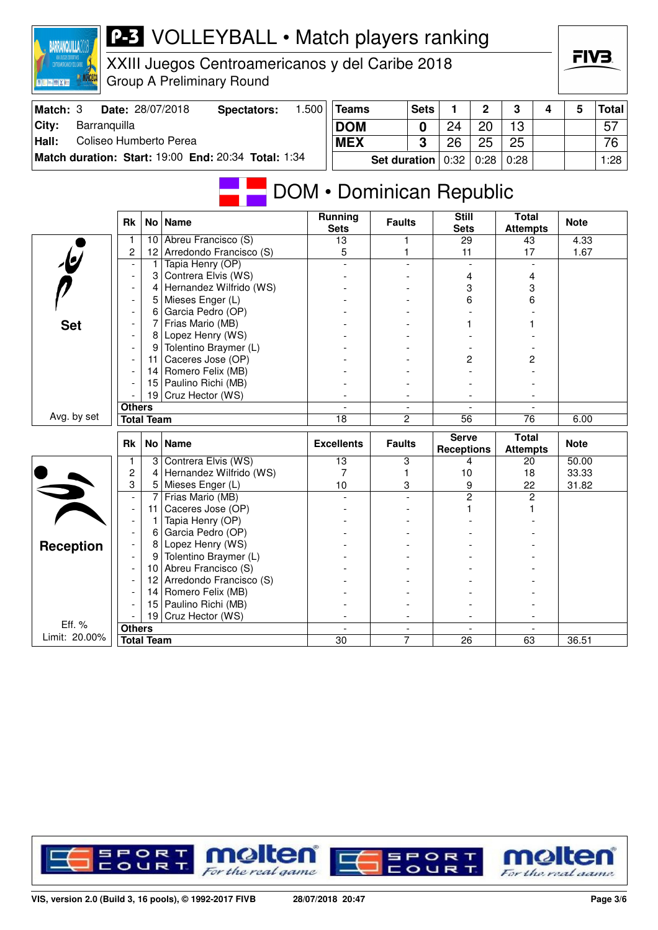

XXIII Juegos Centroamericanos y del Caribe 2018 Group A Preliminary Round

| Match: 3 | Date: 28/07/2018                                    | Spectators: | 1.500 | Teams                                      | <b>Sets</b> |    | $\overline{2}$ | 3    | 4 | 5 | <b>Total</b> |
|----------|-----------------------------------------------------|-------------|-------|--------------------------------------------|-------------|----|----------------|------|---|---|--------------|
| City:    | Barranquilla                                        |             |       | <b>DOM</b>                                 |             | 24 | 20             | 13   |   |   | 57           |
| Hall:    | Coliseo Humberto Perea                              |             |       | <b>MEX</b>                                 | C           | 26 | 25             | 25   |   |   | 76           |
|          | Match duration: Start: 19:00 End: 20:34 Total: 1:34 |             |       | Set duration $\vert 0.32 \vert 0.28 \vert$ |             |    |                | 0:28 |   |   | 1:28         |

# **DOM • Dominican Republic**

|                         | <b>Rk</b>                          |                 | No   Name               | <b>Running</b><br><b>Sets</b> | <b>Faults</b>                    | <b>Still</b><br><b>Sets</b>       | <b>Total</b><br><b>Attempts</b> | <b>Note</b> |
|-------------------------|------------------------------------|-----------------|-------------------------|-------------------------------|----------------------------------|-----------------------------------|---------------------------------|-------------|
|                         | 1                                  | 10              | Abreu Francisco (S)     | 13                            |                                  | 29                                | 43                              | 4.33        |
| $\overline{6}$          | 2                                  | 12              | Arredondo Francisco (S) | 5                             |                                  | 11                                | 17                              | 1.67        |
|                         |                                    | 1               | Tapia Henry (OP)        |                               |                                  |                                   |                                 |             |
|                         | $\overline{\phantom{a}}$           | 3               | Contrera Elvis (WS)     |                               |                                  | 4                                 | 4                               |             |
|                         | $\blacksquare$                     | 4               | Hernandez Wilfrido (WS) |                               |                                  | 3                                 | 3                               |             |
|                         |                                    | 5               | Mieses Enger (L)        |                               |                                  | 6                                 | 6                               |             |
|                         | $\overline{\phantom{a}}$           | 6               | Garcia Pedro (OP)       |                               |                                  |                                   |                                 |             |
| <b>Set</b>              | $\overline{\phantom{a}}$           | 7               | Frias Mario (MB)        |                               |                                  |                                   |                                 |             |
|                         |                                    | 8               | Lopez Henry (WS)        |                               |                                  |                                   |                                 |             |
|                         |                                    | 9               | Tolentino Braymer (L)   |                               |                                  |                                   |                                 |             |
|                         |                                    | 11              | Caceres Jose (OP)       |                               |                                  | 2                                 | 2                               |             |
|                         |                                    | 14              | Romero Felix (MB)       |                               |                                  |                                   |                                 |             |
|                         |                                    | 15              | Paulino Richi (MB)      |                               |                                  |                                   |                                 |             |
|                         |                                    |                 | 19 Cruz Hector (WS)     |                               |                                  |                                   |                                 |             |
|                         | <b>Others</b>                      |                 |                         |                               | $\overline{\phantom{a}}$         | $\overline{\phantom{a}}$          | $\overline{\phantom{a}}$        |             |
| Avg. by set             | <b>Total Team</b>                  |                 |                         | 18                            | $\overline{c}$                   | $\overline{56}$                   | 76                              | 6.00        |
|                         |                                    |                 |                         |                               |                                  |                                   |                                 |             |
|                         | <b>Rk</b>                          |                 | No Name                 | <b>Excellents</b>             | <b>Faults</b>                    | <b>Serve</b><br><b>Receptions</b> | Total<br><b>Attempts</b>        | <b>Note</b> |
|                         | 1                                  | 3               | Contrera Elvis (WS)     | 13                            | 3                                | 4                                 | 20                              | 50.00       |
|                         | 2                                  | 4               | Hernandez Wilfrido (WS) | 7                             | 1                                | 10                                | 18                              | 33.33       |
|                         | 3                                  | 5               | Mieses Enger (L)        | 10                            | 3                                | 9                                 | 22                              | 31.82       |
| 5                       | $\mathbf{r}$                       | 7               | Frias Mario (MB)        |                               |                                  | 2                                 | 2                               |             |
|                         | $\overline{\phantom{a}}$           | 11              | Caceres Jose (OP)       |                               |                                  |                                   |                                 |             |
|                         | $\overline{\phantom{a}}$           | 1               | Tapia Henry (OP)        |                               |                                  |                                   |                                 |             |
|                         | $\overline{\phantom{a}}$           | 6               | Garcia Pedro (OP)       |                               |                                  |                                   |                                 |             |
|                         |                                    | 8               | Lopez Henry (WS)        |                               |                                  |                                   |                                 |             |
| <b>Reception</b>        |                                    | 9               | Tolentino Braymer (L)   |                               |                                  |                                   |                                 |             |
|                         | $\overline{\phantom{a}}$           | 10              | Abreu Francisco (S)     |                               |                                  |                                   |                                 |             |
|                         |                                    | 12 <sup>2</sup> | Arredondo Francisco (S) |                               |                                  |                                   |                                 |             |
|                         |                                    | 14              | Romero Felix (MB)       |                               |                                  |                                   |                                 |             |
|                         |                                    | 15              | Paulino Richi (MB)      |                               |                                  |                                   |                                 |             |
|                         |                                    | 19              | Cruz Hector (WS)        |                               |                                  |                                   |                                 |             |
| Eff. %<br>Limit: 20.00% | <b>Others</b><br><b>Total Team</b> |                 |                         | $\overline{a}$<br>30          | $\overline{a}$<br>$\overline{7}$ | $\overline{a}$<br>26              | 63                              | 36.51       |

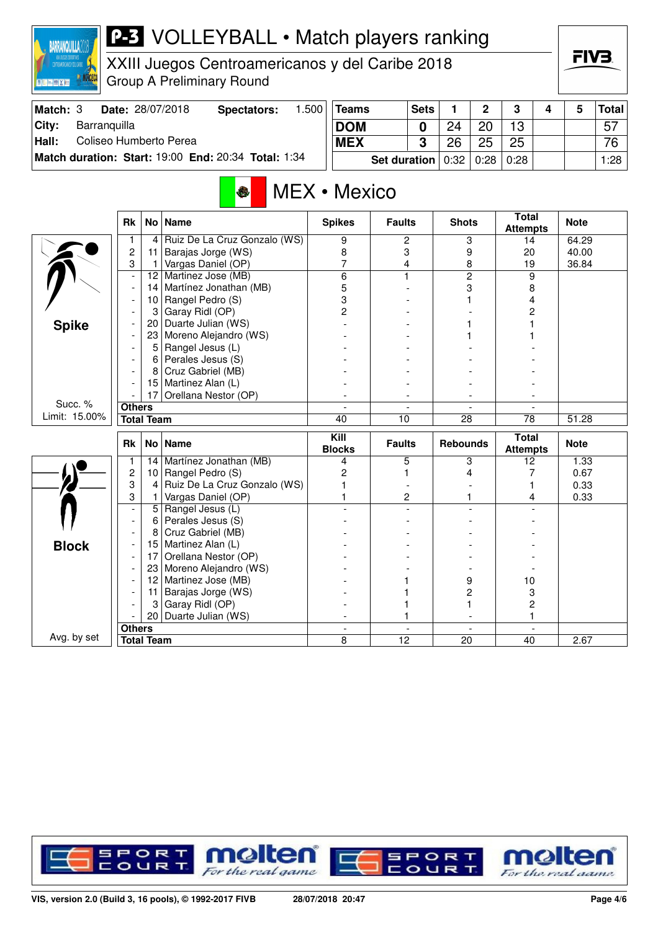

XXIII Juegos Centroamericanos y del Caribe 2018 Group A Preliminary Round

| Match: 3 | Date: 28/07/2018                                    | Spectators: | .500 | Teams      |                               | <b>Sets</b> |    | C  | 2    |  | <b>Total</b> |
|----------|-----------------------------------------------------|-------------|------|------------|-------------------------------|-------------|----|----|------|--|--------------|
| City:    | Barranguilla                                        |             |      | <b>DOM</b> |                               |             | 24 | 20 | 13   |  | 57           |
| Hall:    | Coliseo Humberto Perea                              |             |      | <b>MEX</b> |                               | ≏           | 26 | 25 | 25   |  | 76           |
|          | Match duration: Start: 19:00 End: 20:34 Total: 1:34 |             |      |            | Set duration $0.32 \mid 0.28$ |             |    |    | 0:28 |  | 1:28         |

## MEX • Mexico

|               | <b>Rk</b>                          |              | No   Name                    | <b>Spikes</b>                 | <b>Faults</b>                  | <b>Shots</b>                   | <b>Total</b><br><b>Attempts</b> | <b>Note</b> |
|---------------|------------------------------------|--------------|------------------------------|-------------------------------|--------------------------------|--------------------------------|---------------------------------|-------------|
|               | 1                                  | 4            | Ruiz De La Cruz Gonzalo (WS) | 9                             | 2                              | 3                              | 14                              | 64.29       |
|               | $\overline{c}$                     | 11           | Barajas Jorge (WS)           | 8                             | 3                              | 9                              | 20                              | 40.00       |
|               | 3                                  | $\mathbf{1}$ | Vargas Daniel (OP)           | 7                             | 4                              | 8                              | 19                              | 36.84       |
|               | $\overline{a}$                     | 12           | Martinez Jose (MB)           | $\overline{6}$                | 1                              | $\overline{2}$                 | 9                               |             |
|               | $\overline{a}$                     | 14           | Martínez Jonathan (MB)       | 5                             |                                | 3                              | 8                               |             |
|               |                                    | 10           | Rangel Pedro (S)             | 3                             |                                |                                | 4                               |             |
|               |                                    | 3            | Garay Ridl (OP)              | 2                             |                                |                                | 2                               |             |
| <b>Spike</b>  |                                    | 20           | Duarte Julian (WS)           |                               |                                |                                |                                 |             |
|               |                                    | 23           | Moreno Alejandro (WS)        |                               |                                |                                |                                 |             |
|               |                                    | 5            | Rangel Jesus (L)             |                               |                                |                                |                                 |             |
|               |                                    | 6            | Perales Jesus (S)            |                               |                                |                                |                                 |             |
|               |                                    | 8            | Cruz Gabriel (MB)            |                               |                                |                                |                                 |             |
|               |                                    | 15           | Martinez Alan (L)            |                               |                                |                                |                                 |             |
|               |                                    | 17           | Orellana Nestor (OP)         |                               | $\overline{\phantom{a}}$       |                                |                                 |             |
| Succ. %       | <b>Others</b>                      |              |                              | $\overline{\phantom{a}}$      | $\blacksquare$                 | $\blacksquare$                 | $\overline{a}$                  |             |
| Limit: 15.00% | <b>Total Team</b>                  |              |                              | 40                            | 10                             | $\overline{28}$                | $\overline{78}$                 | 51.28       |
|               |                                    |              |                              |                               |                                |                                |                                 |             |
|               | <b>Rk</b>                          |              | No   Name                    | Kill<br><b>Blocks</b>         | <b>Faults</b>                  | <b>Rebounds</b>                | <b>Total</b><br><b>Attempts</b> | <b>Note</b> |
|               | $\mathbf{1}$                       | 14           | Martínez Jonathan (MB)       | 4                             | 5                              | 3                              | 12                              | 1.33        |
|               | $\overline{c}$                     | 10           | Rangel Pedro (S)             | 2                             | 1                              | 4                              | 7                               | 0.67        |
|               | 3                                  | 4            | Ruiz De La Cruz Gonzalo (WS) |                               |                                |                                | 1                               | 0.33        |
|               | 3                                  | 1.           | Vargas Daniel (OP)           |                               | 2                              |                                | 4                               | 0.33        |
|               | $\overline{a}$                     |              | 5 Rangel Jesus (L)           |                               |                                |                                |                                 |             |
|               | $\blacksquare$                     | 6            | Perales Jesus (S)            |                               |                                |                                |                                 |             |
|               |                                    | 8            | Cruz Gabriel (MB)            |                               |                                |                                |                                 |             |
| <b>Block</b>  |                                    | 15           | Martinez Alan (L)            |                               |                                |                                |                                 |             |
|               |                                    | 17           | Orellana Nestor (OP)         |                               |                                |                                |                                 |             |
|               |                                    | 23           | Moreno Alejandro (WS)        |                               |                                |                                |                                 |             |
|               |                                    | 12           | Martinez Jose (MB)           |                               |                                | 9                              | 10                              |             |
|               |                                    | 11           | Barajas Jorge (WS)           |                               |                                | 2                              | 3                               |             |
|               |                                    | 3            | Garay Ridl (OP)              |                               |                                |                                | $\overline{c}$                  |             |
|               |                                    | 20           | Duarte Julian (WS)           |                               |                                |                                | 1                               |             |
| Avg. by set   | <b>Others</b><br><b>Total Team</b> |              |                              | $\overline{\phantom{a}}$<br>8 | $\overline{\phantom{a}}$<br>12 | $\overline{\phantom{a}}$<br>20 | $\overline{\phantom{a}}$<br>40  | 2.67        |

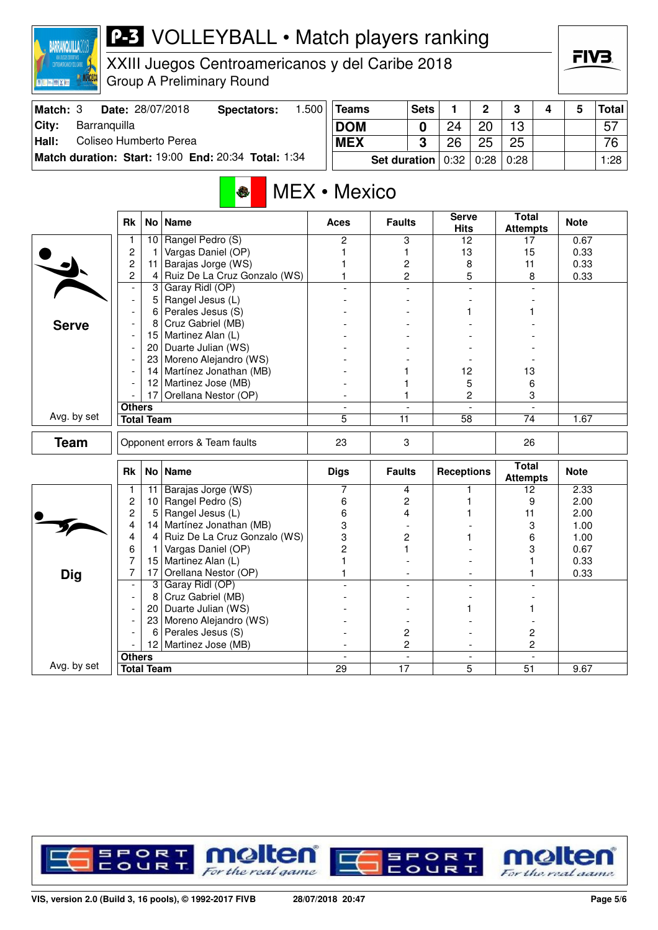

XXIII Juegos Centroamericanos y del Caribe 2018 Group A Preliminary Round

| Match: 3 |              | Date: 28/07/2018       | Spectators:                                         | .500 | Teams      | <b>Sets</b>           |    | n                | ≏  |  | <b>Total</b> |
|----------|--------------|------------------------|-----------------------------------------------------|------|------------|-----------------------|----|------------------|----|--|--------------|
| City:    | Barranquilla |                        |                                                     |      | <b>DOM</b> |                       | 24 | 20               | 13 |  | 57           |
| Hall:    |              | Coliseo Humberto Perea |                                                     |      | <b>MEX</b> |                       | 26 | 25               | 25 |  | 76           |
|          |              |                        | Match duration: Start: 19:00 End: 20:34 Total: 1:34 |      |            | Set duration $ 0:32 $ |    | $0:28 \mid 0:28$ |    |  | 1:28         |

## MEX • Mexico

|              | <b>Rk</b>                | No              | <b>Name</b>                   | <b>Aces</b>    | <b>Faults</b>            | <b>Serve</b><br><b>Hits</b> | <b>Total</b><br><b>Attempts</b> | <b>Note</b> |
|--------------|--------------------------|-----------------|-------------------------------|----------------|--------------------------|-----------------------------|---------------------------------|-------------|
|              | 1                        | 10              | Rangel Pedro (S)              | 2              | 3                        | 12                          | 17                              | 0.67        |
|              | $\overline{c}$           | $\mathbf{1}$    | Vargas Daniel (OP)            | 1              | 1                        | 13                          | 15                              | 0.33        |
|              | $\overline{c}$           | 11              | Barajas Jorge (WS)            |                | $\overline{\mathbf{c}}$  | 8                           | 11                              | 0.33        |
|              | 2                        | $\overline{4}$  | Ruiz De La Cruz Gonzalo (WS)  | 1              | $\overline{c}$           | 5                           | 8                               | 0.33        |
|              | $\overline{\phantom{a}}$ | $\overline{3}$  | Garay Ridl (OP)               |                | $\blacksquare$           | $\overline{a}$              |                                 |             |
|              | $\overline{\phantom{a}}$ | 5               | Rangel Jesus (L)              |                |                          |                             |                                 |             |
|              | $\overline{\phantom{a}}$ | 6               | Perales Jesus (S)             |                |                          |                             |                                 |             |
| <b>Serve</b> | $\overline{\phantom{a}}$ | 8               | Cruz Gabriel (MB)             |                |                          |                             |                                 |             |
|              | $\overline{\phantom{a}}$ | 15              | Martinez Alan (L)             |                |                          |                             |                                 |             |
|              | $\overline{a}$           | 20              | Duarte Julian (WS)            |                |                          |                             |                                 |             |
|              | $\overline{\phantom{a}}$ | 23              | Moreno Alejandro (WS)         |                |                          |                             |                                 |             |
|              |                          | 14              | Martínez Jonathan (MB)        |                |                          | 12                          | 13                              |             |
|              |                          |                 | 12 Martinez Jose (MB)         |                |                          | 5                           | 6                               |             |
|              |                          | 17              | Orellana Nestor (OP)          |                | 1                        | 2                           | 3                               |             |
|              | <b>Others</b>            |                 |                               | $\blacksquare$ | $\overline{a}$           | $\overline{a}$              | $\mathbf{r}$                    |             |
| Avg. by set  | <b>Total Team</b>        |                 |                               | 5              | 11                       | $\overline{58}$             | 74                              | 1.67        |
| <b>Team</b>  |                          |                 | Opponent errors & Team faults | 23             | 3                        |                             | 26                              |             |
|              | <b>Rk</b>                | No <sub>1</sub> | <b>Name</b>                   | <b>Digs</b>    | <b>Faults</b>            | <b>Receptions</b>           | <b>Total</b><br><b>Attempts</b> | <b>Note</b> |
|              | 1                        | 11              | Barajas Jorge (WS)            | 7              | 4                        |                             | $\overline{12}$                 | 2.33        |
|              | 2                        | 10 <sup>°</sup> | Rangel Pedro (S)              | 6              | 2                        | 1                           | 9                               | 2.00        |
|              | $\overline{c}$           | 5               | Rangel Jesus (L)              | 6              | 4                        |                             | 11                              | 2.00        |
|              | 4                        | 14              | Martínez Jonathan (MB)        | 3              |                          |                             | 3                               | 1.00        |
|              | 4                        | $\overline{4}$  | Ruiz De La Cruz Gonzalo (WS)  | 3              | 2                        |                             | 6                               | 1.00        |
|              | 6                        | 1               | Vargas Daniel (OP)            | $\overline{2}$ | 1                        |                             | 3                               | 0.67        |
|              | $\overline{7}$           | 15              | Martinez Alan (L)             | 1              |                          |                             |                                 | 0.33        |
| <b>Dig</b>   | 7                        | 17              | Orellana Nestor (OP)          | 1              |                          |                             |                                 | 0.33        |
|              | $\overline{\phantom{a}}$ | $\mathbf{3}$    | Garay Ridl (OP)               |                |                          |                             |                                 |             |
|              | $\blacksquare$           | 8               | Cruz Gabriel (MB)             |                |                          |                             |                                 |             |
|              |                          | 20              | Duarte Julian (WS)            |                |                          |                             |                                 |             |
|              |                          | 23              | Moreno Alejandro (WS)         |                |                          |                             |                                 |             |
|              |                          | 6               | Perales Jesus (S)             |                | 2                        |                             | 2                               |             |
|              |                          |                 | 12 Martinez Jose (MB)         |                | 2                        | $\blacksquare$              | $\overline{c}$                  |             |
|              | <b>Others</b>            |                 |                               | $\blacksquare$ | $\overline{\phantom{a}}$ | $\blacksquare$              | $\sim$                          |             |
| Avg. by set  | <b>Total Team</b>        |                 |                               | 29             | 17                       | 5                           | 51                              | 9.67        |